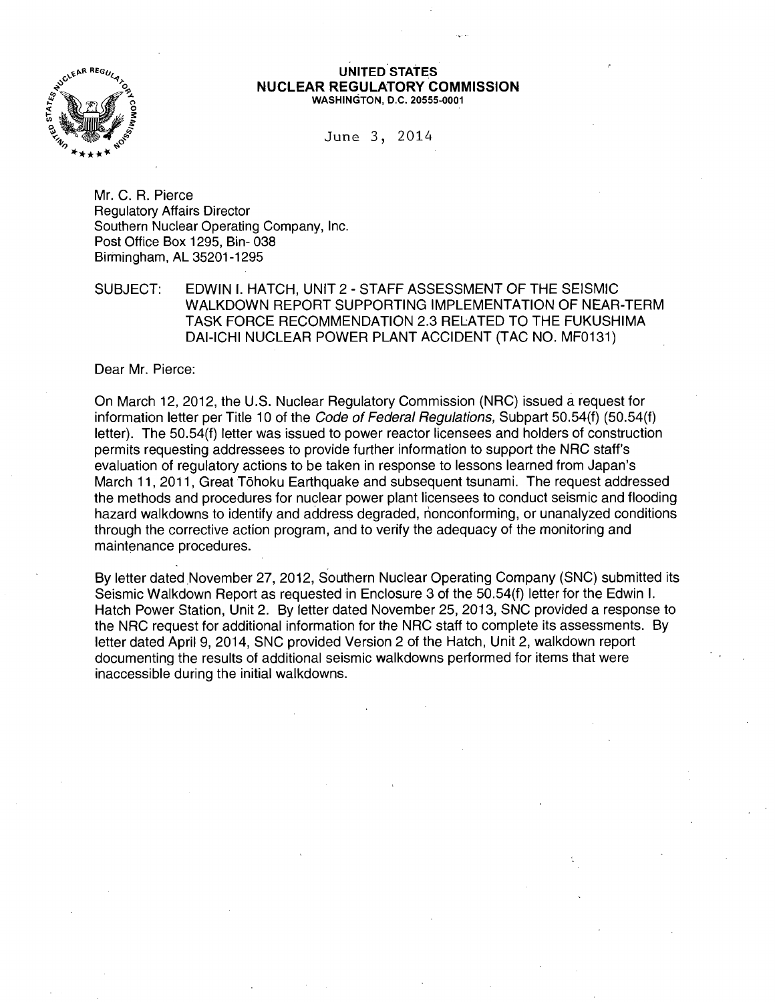

#### UNITED STATES NUCLEAR REGULATORY COMMISSION WASHINGTON, D.C. 20555-0001

June 3, 2014

Mr. C. R. Pierce Regulatory Affairs Director Southern Nuclear Operating Company, Inc. Post Office Box 1295, Bin- 038 Birmingham, AL 35201-1295

SUBJECT: EDWIN I. HATCH, UNIT 2- STAFF ASSESSMENT OF THE SEISMIC WALKDOWN REPORT SUPPORTING IMPLEMENTATION OF NEAR-TERM TASK FORCE RECOMMENDATION 2.3 RELATED TO THE FUKUSHIMA DAI-ICHI NUCLEAR POWER PLANT ACCIDENT (TAC NO. MF0131)

Dear Mr. Pierce:

On March 12, 2012, the U.S. Nuclear Regulatory Commission (NRC) issued a request for information letter per Title 10 of the *Code of Federal Regulations*, Subpart 50.54(f) (50.54(f) letter). The 50.54(f) letter was issued to power reactor licensees and holders of construction permits requesting addressees to provide further information to support the NRC staff's evaluation of regulatory actions to be taken in response to lessons learned from Japan's March 11, 2011, Great Tohoku Earthquake and subsequent tsunami. The request addressed the methods and procedures for nuclear power plant licensees to conduct seismic and flooding hazard walkdowns to identify and address degraded, nonconforming, or unanalyzed conditions through the corrective action program, and to verify the adequacy of the monitoring and maintenance procedures.

By letter dated November 27, 2012, Southern Nuclear Operating Company (SNC) submitted its Seismic Walkdown Report as requested in Enclosure 3 of the 50.54(f) letter for the Edwin I. Hatch Power Station, Unit 2. By letter dated November 25, 2013, SNC provided a response to the NRC request for additional information for the NRC staff to complete its assessments. By letter dated April 9, 2014, SNC provided Version 2 of the Hatch, Unit 2, walkdown report documenting the results of additional seismic walkdowns performed for items that were inaccessible during the initial walkdowns.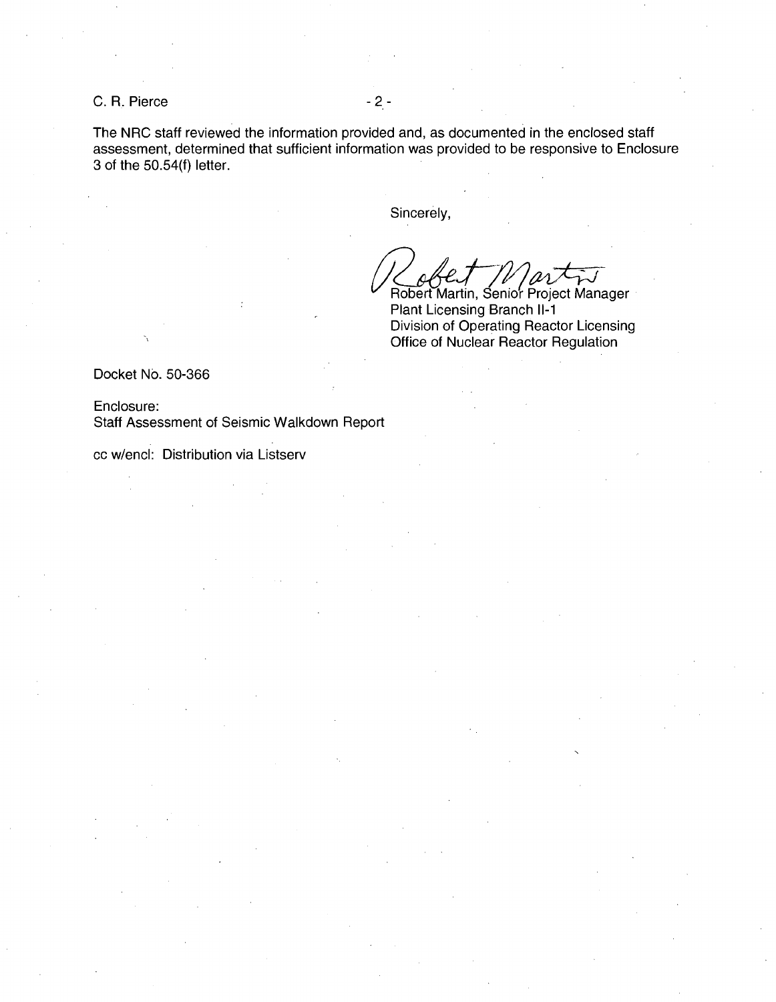C. R. Pierce - 2 -

The NRC staff reviewed the information provided and, as documented in the enclosed staff assessment, determined that sufficient information was provided to be responsive to Enclosure 3 of the 50.54(f) letter.

Sincerely,

Robert Martin, Senior Project Manager Plant Licensing Branch 11-1 Division of Operating Reactor Licensing Office of Nuclear Reactor Regulation

Docket No. 50-366

Enclosure: Staff Assessment of Seismic Walkdown Report

cc w/encl: Distribution via Listserv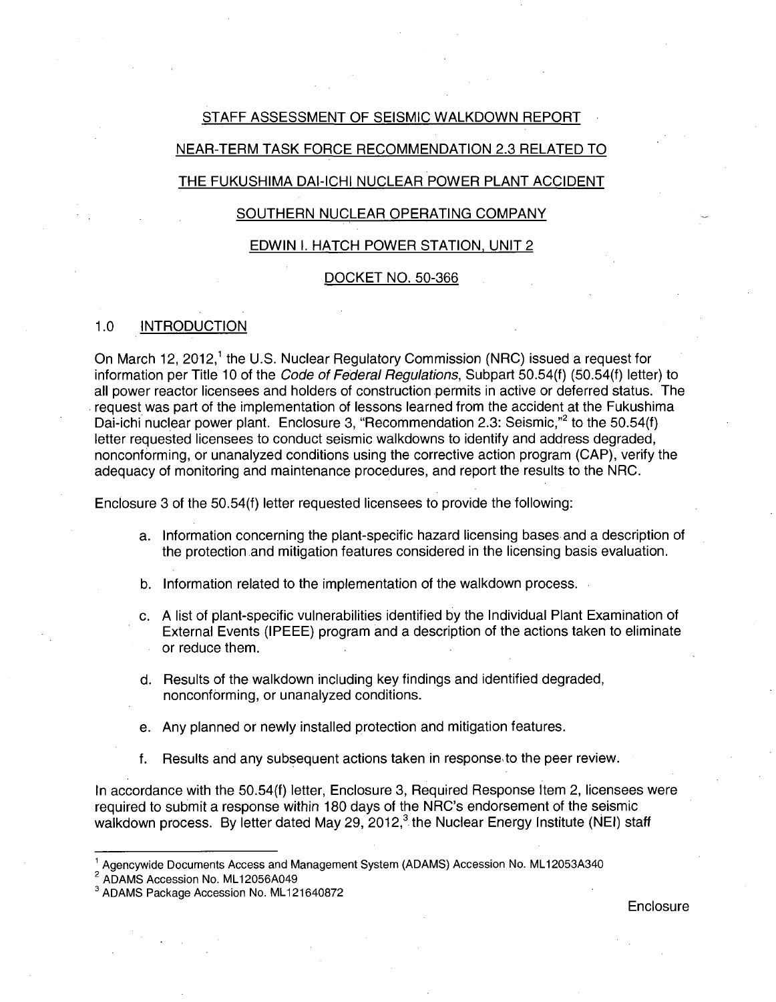# STAFF ASSESSMENT OF SEISMIC WALKDOWN REPORT

# NEAR-TERM TASK FORCE RECOMMENDATION 2.3 RELATED TO

# THE FUKUSHIMA DAI-ICHI NUCLEAR POWER PLANT ACCIDENT

# SOUTHERN NUCLEAR OPERATING COMPANY

## EDWIN I. HATCH POWER STATION, UNIT 2

#### DOCKET NO. 50-366

# 1.0 INTRODUCTION

On March 12, 2012,<sup>1</sup> the U.S. Nuclear Regulatory Commission (NRC) issued a request for information per Title 10 of the Code of Federal Regulations, Subpart 50.54(f) (50.54(f) letter) to all power reactor licensees and holders of construction permits in active or deferred status. The . request was part of the implementation of lessons learned from the accident at the Fukushima Dai-ichi nuclear power plant. Enclosure 3, "Recommendation 2.3: Seismic,"<sup>2</sup> to the 50.54(f) letter requested licensees to conduct seismic walkdowns to identify and address degraded, nonconforming, or unanalyzed conditions using the corrective action program (CAP), verify the adequacy of monitoring and maintenance procedures, and report the results to the NRC.

Enclosure 3 of the 50.54(f) letter requested licensees to provide the following:

- a. Information concerning the plant-specific hazard licensing bases and a description of the protection .and mitigation features considered in the licensing basis evaluation.
- b. Information related to the implementation of the walkdown process.
- c. A list of plant-specific vulnerabilities identified by the Individual Plant Examination of External Events (IPEEE) program and a description of the actions taken to eliminate or reduce them.
- d. Results of the walkdown including key findings and identified degraded, nonconforming, or unanalyzed conditions.
- e. Any planned or newly installed protection and mitigation features.
- f. Results and any subsequent actions taken in response, to the peer review.

In accordance with the 50.54(f) letter, Enclosure 3, Required Response Item 2, licensees were required to submit a response within 180 days of the NRC's endorsement of the seismic walkdown process. By letter dated May 29, 2012,<sup>3</sup> the Nuclear Energy Institute (NEI) staff

 $^1$  Agencywide Documents Access and Management System (ADAMS) Accession No. ML12053A340<br><sup>2</sup> ADAMS Accession No. ML12056A049

<sup>&</sup>lt;sup>3</sup> ADAMS Package Accession No. ML121640872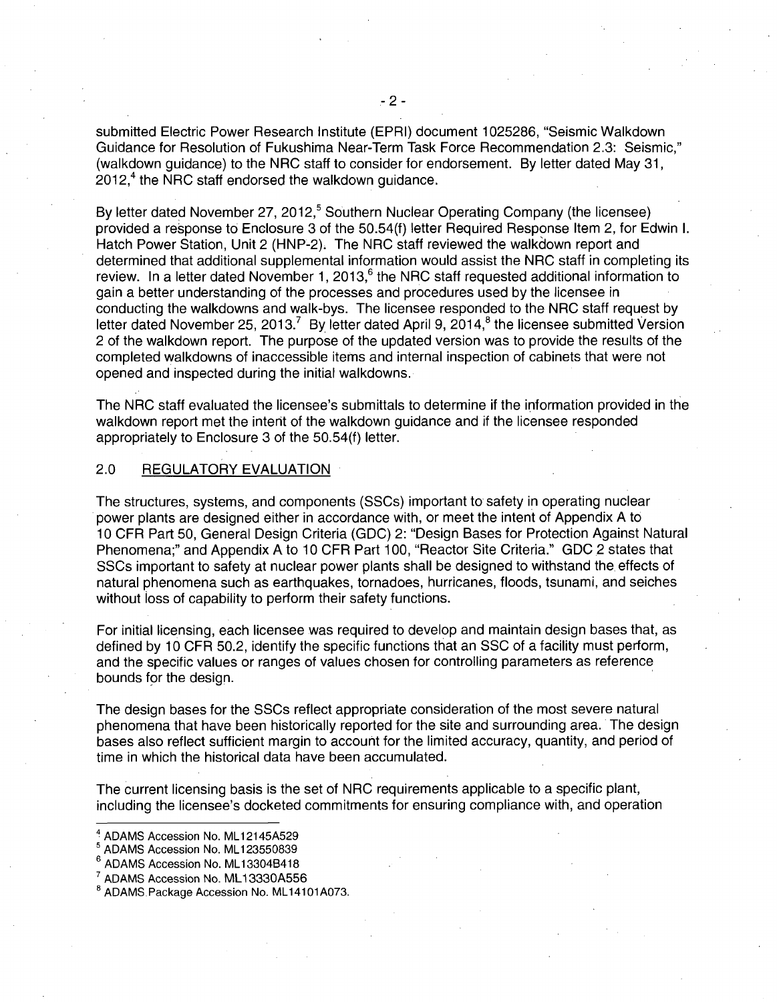submitted Electric Power Research Institute (EPRI) document 1025286, "Seismic Walkdown Guidance for Resolution of Fukushima Near-Term Task Force Recommendation 2.3: Seismic," (walkdown guidance) to the NRC staff to consider for endorsement. By letter dated May 31,  $2012<sup>4</sup>$  the NRC staff endorsed the walkdown quidance.

By letter dated November 27, 2012,<sup>5</sup> Southern Nuclear Operating Company (the licensee) provided a response to Enclosure 3 of the 50.54(f) letter Required Response Item 2, for Edwin I. Hatch Power Station, Unit 2 (HNP-2). The NRC staff reviewed the walkdown report and determined that additional supplemental information would assist the NRC staff in completing its review. In a letter dated November 1, 2013, $6$  the NRC staff requested additional information to gain a better understanding of the processes and procedures used by the licensee in conducting the walkdowns and walk-bys. The licensee responded to the NRC staff request by letter dated November 25, 2013.<sup>7</sup> By letter dated April 9, 2014,<sup>8</sup> the licensee submitted Version 2 of the walkdown report. The purpose of the updated version was to provide the results of the completed walkdowns of inaccessible items and internal inspection of cabinets that were not opened and inspected during the initial walkdowns.

The NRC staff evaluated the licensee's submittals to determine if the information provided in the walkdown report met the intent of the walkdown guidance and if the licensee responded appropriately to Enclosure 3 of the 50.54(f) letter.

## 2.0 REGULATORY EVALUATION

The structures, systems, and components (SSCs) important to safety in operating nuclear power plants are designed either in accordance with, or meet the intent of Appendix A to 1 0 CFR Part 50, General Design Criteria (GDC) 2: "Design Bases for Protection Against Natural Phenomena;" and Appendix A to 10 CFR Part 100, "Reactor Site Criteria." GDC 2 states that SSCs important to safety at nuclear power plants shall be designed to withstand the effects of natural phenomena such as earthquakes, tornadoes, hurricanes, floods, tsunami, and seiches without loss of capability to perform their safety functions.

For initial licensing, each licensee was required to develop and maintain design bases that, as defined by 10 CFR 50.2, identify the specific functions that an SSC of a facility must perform, and the specific values or ranges of values chosen for controlling parameters as reference bounds for the design.

The design bases for the SSCs reflect appropriate consideration of the most severe natural phenomena that have been historically reported for the site and surrounding area. The design bases also reflect sufficient margin to account for the limited accuracy, quantity, and period of time in which the historical data have been accumulated.

The current licensing basis is the set of NRC requirements applicable to a specific plant, including the licensee's docketed commitments for ensuring compliance with, and operation

 $4$  ADAMS Accession No. ML12145A529<br> $5$  ADAMS Accession No. ML123550839

<sup>6</sup>ADAMS Accession No. ML 133048418

 $^7$  ADAMS Accession No. ML13330A556<br> $^8$  ADAMS Package Accession No. ML14101A073.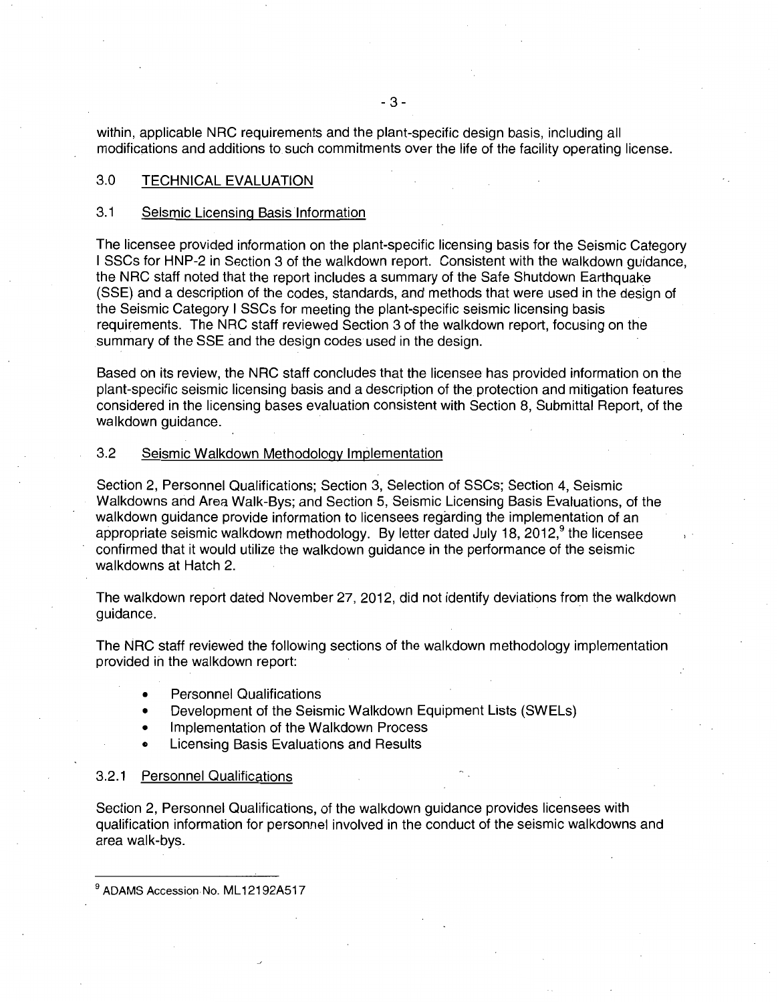within, applicable NRC requirements and the plant-specific design basis, including all modifications and additions to such commitments over the life of the facility operating license.

## 3.0 TECHNICAL EVALUATION

## 3.1 Seismic Licensing Basislnformation

The licensee provided information on the plant-specific licensing basis for the Seismic Category I SSCs for HNP-2 in Section 3 of the walkdown report. Consistent with the walkdown guidance, the NRC staff noted that the report includes a summary of the Safe Shutdown Earthquake (SSE) and a description of the codes, standards, and methods that were used in the design of the Seismic Category I SSCs for meeting the plant-specific seismic licensing basis requirements. The NRC staff reviewed Section 3 of the walkdown report, focusing on the summary of the SSE and the design codes used in the design.

Based on its review, the NRC staff concludes that the licensee has provided information on the plant-specific seismic licensing basis and a description of the protection and mitigation features considered in the licensing bases evaluation consistent with Section 8, Submittal Report, of the walkdown guidance.

### 3.2 Seismic Walkdown Methodology Implementation

Section 2, Personnel Qualifications; Section 3, Selection of SSCs; Section 4, Seismic Walkdowns and Area Walk-Bys; and Section 5, Seismic Licensing Basis Evaluations, of the walkdown guidance provide information to licensees regarding the implementation of an appropriate seismic walkdown methodology. By letter dated July 18,  $2012<sup>9</sup>$  the licensee confirmed that it would utilize the walkdown guidance in the performance of the seismic walkdowns at Hatch 2.

The walkdown report dated November 27, 2012, did not identify deviations from the walkdown guidance.

The NRC staff reviewed the following sections of the walkdown methodology implementation provided in the walkdown report:

- Personnel Qualifications
- Development of the Seismic Walkdown Equipment Lists (SWELs)
- Implementation of the Walkdown Process
- Licensing Basis Evaluations and Results

#### 3.2.1 Personnel Qualifications

Section 2, Personnel Qualifications, of the walkdown guidance provides licensees with qualification information for personnel involved in the conduct of the seismic walkdowns and area walk-bys.

ADAMS Accession No. ML12192A517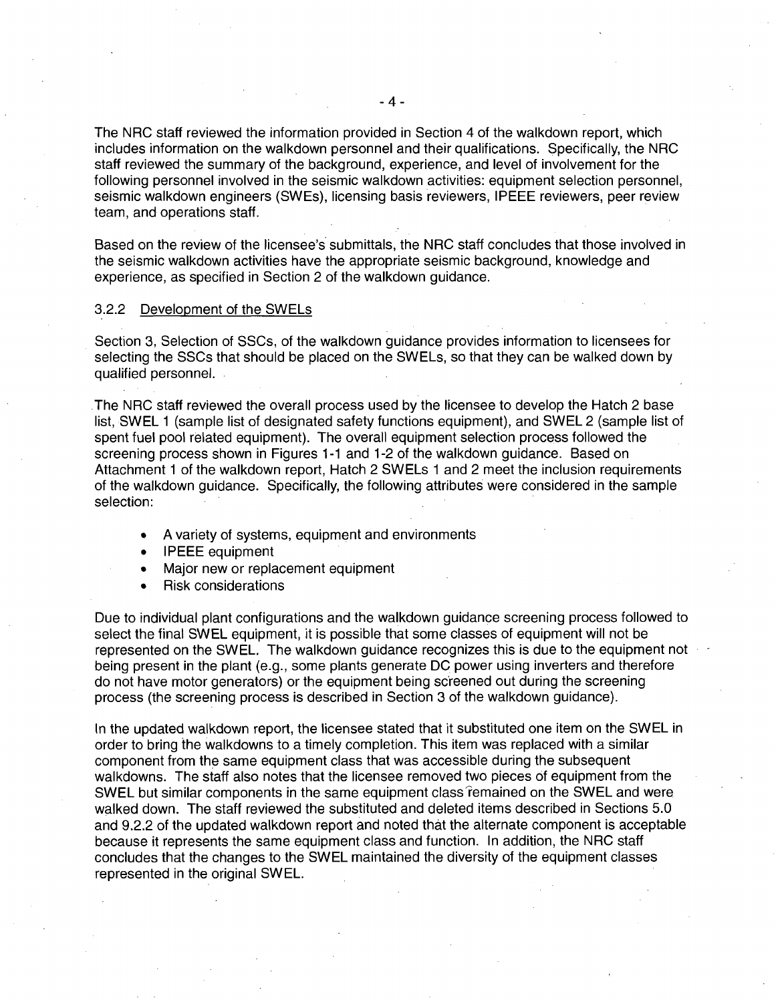The NRC staff reviewed the information provided in Section 4 of the walkdown report, which includes information on the walkdown personnel and their qualifications. Specifically, the NRC staff reviewed the summary of the background, experience, and level of involvement for the following personnel involved in the seismic walkdown activities: equipment selection personnel, seismic walkdown engineers (SWEs), licensing basis reviewers, IPEEE reviewers, peer review team, and operations staff.

Based on the review of the licensee's submittals, the NRC staff concludes that those involved in the seismic walkdown activities have the appropriate seismic background, knowledge and experience, as specified in Section 2 of the walkdown guidance.

#### 3.2.2 Development of the SWELs

Section 3, Selection of SSCs, of the walkdown guidance provides information to licensees for selecting the SSCs that should be placed on the SWELs, so that they can be walked down by qualified personnel.

.The NRC staff reviewed the overall process used by the licensee to develop the Hatch 2 base list, SWEL 1 (sample list of designated safety functions equipment), and SWEL 2 (sample list of spent fuel pool related equipment). The overall equipment selection process followed the screening process shown in Figures 1-1 and 1-2 of the walkdown guidance. Based on Attachment 1 of the walkdown report, Hatch 2 SWELs 1 and 2 meet the inclusion requirements of the walkdown guidance. Specifically, the following attributes were considered in the sample selection:

- A variety of systems, equipment and environments
- IPEEE equipment
- Major new or replacement equipment
- Risk considerations

Due to individual plant configurations and the walkdown guidance screening process followed to select the final SWEL equipment, it is possible that some classes of equipment will not be represented on the SWEL. The walkdown guidance recognizes this is due to the equipment not being present in the plant (e.g., some plants generate DC power using inverters and therefore do not have motor generators) or the equipment being sc'reened out during the screening process (the screening process is described in Section 3 of the walkdown guidance).

In the updated walkdown report, the licensee stated that it substituted one item on the SWEL in order to bring the walkdowns to a timely completion. This item was replaced with a similar component from the same equipment class that was accessible during the subsequent walkdowns. The staff also notes that the licensee removed two pieces of equipment from the SWEL but similar components in the same equipment class remained on the SWEL and were walked down. The staff reviewed the substituted and deleted items described in Sections 5.0 and 9.2.2 of the updated walkdown report and noted that the alternate component is acceptable because it represents the same equipment class and function. In addition, the NRC staff concludes that the changes to the SWEL maintained the diversity of the equipment classes represented in the original SWEL.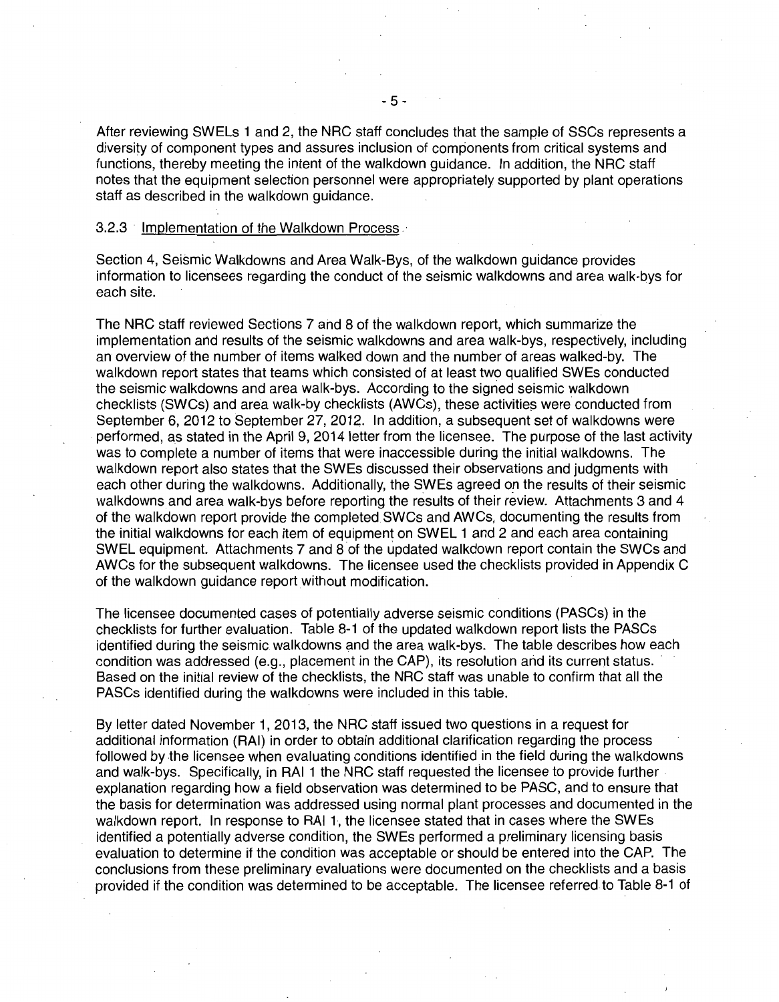After reviewing SWELs 1 and 2, the NRC staff concludes that the sample of SSCs represents a diversity of component types and assures inclusion of components from critical systems and functions, thereby meeting the intent of the walkdown guidance. In addition, the NRC staff notes that the equipment selection personnel were appropriately supported by plant operations staff as described in the walkdown guidance.

## 3.2.3 Implementation of the Walkdown Process ·

Section 4, Seismic Walkdowns and Area Walk-Bys, of the walkdown guidance provides information to licensees regarding the conduct of the seismic walkdowns and area walk-bys for each site.

The NRC staff reviewed Sections 7 and 8 of the walkdown report, which summarize the implementation arid results of the seismic walkdowns and area walk-bys, respectively, including an overview of the number of items walked down and the number of areas walked-by. The walkdown report states that teams which consisted of at least two qualified SWEs conducted the seismic walkdowns and area walk-bys. According to the signed seismic walkdown checklists (SWCs) and area walk-by checklists (AWCs), these activities were conducted from September 6, 2012 to September 27, 2012. In addition, a subsequent set of walkdowns were performed, as stated in the April 9, 2014 letter from the licensee. The purpose of the last activity was to complete a number of items that were inaccessible during the initial walkdowns. The walkdown report also states that the SWEs discussed their observations and judgments with each other during the walkdowns. Additionally, the SWEs agreed on the results of their seismic walkdowns and area walk-bys before reporting the results of their review. Attachments 3 and 4 of the walkdown report provide the completed SWCs and AWCs, documenting the results from the initial walkdowns for each item of equipment on SWEL 1 and 2 and each area containing SWEL equipment. Attachments 7 and 8 of the updated walkdown report contain the SWCs and AWCs for the subsequent walkdowns. The licensee used the checklists provided in Appendix C of the walkdown guidance report without modification.

The licensee documented cases of potentially adverse seismic conditions (PASCs) in the checklists for further evaluation. Table 8-1 of the updated walkdown report lists the PASCs identified during the seismic walkdowns and the area walk-bys. The table describes how each condition was addressed (e.g., placement in the CAP), its resolution and its current status. Based on the initial review of the checklists, the NRC staff was unable to confirm that all the PASCs identified during the walkdowns were included in this table.

By letter dated November 1, 2013, the NRC staff issued two questions in a request for additional information (RAI) in order to obtain additional clarification regarding the process followed by the licensee when evaluating conditions identified in the field during the walkdowns and walk-bys. Specifically, in RAI 1 the NRC staff requested the licensee to provide further explanation regarding how a field observation was determined to be PASC, and to ensure that the basis for determination was addressed using normal plant processes and documented in the walkdown report. In response to RAI 1, the licensee stated that in cases where the SWEs identified a potentially adverse condition, the SWEs performed a preliminary licensing basis evaluation to determine if the condition was acceptable or should be entered into the CAP. The conclusions from these preliminary evaluations were documented on the checklists and a basis provided if the condition was determined to be acceptable. The licensee referred to Table 8-1 of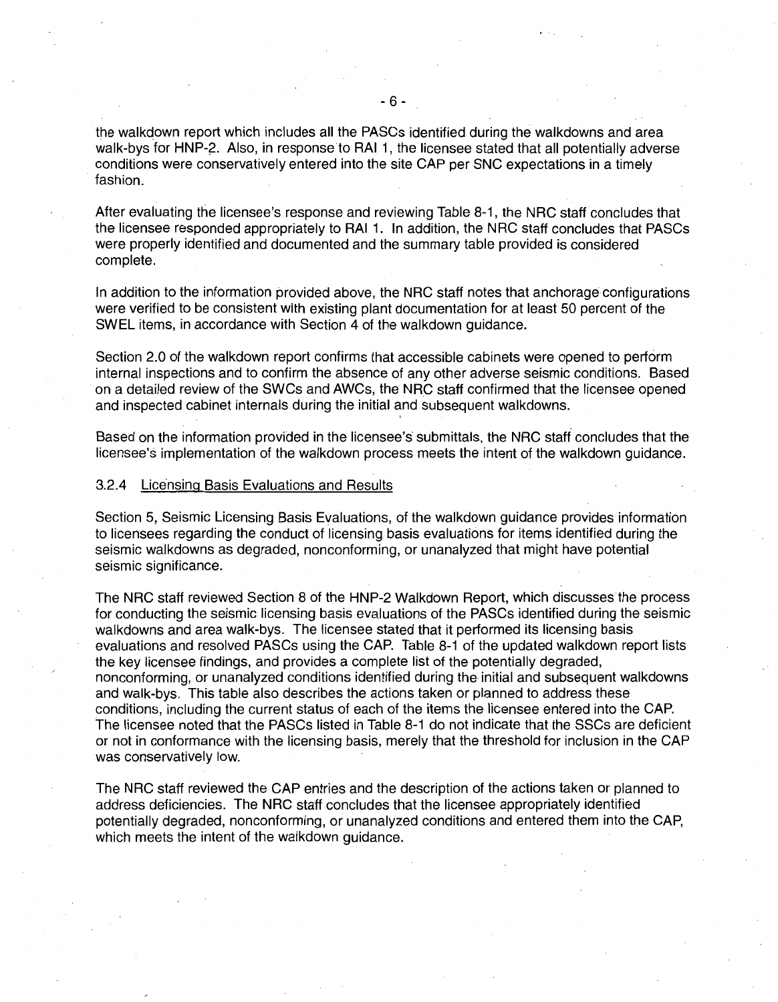the walkdown report which includes all the PASCs identified during the walkdowns and area walk-bys for HNP-2. Also, in response to RAI 1, the licensee stated that all potentially adverse conditions were conservatively entered into the site CAP per SNC expectations in a timely fashion.

After evaluating the licensee's response and reviewing Table 8-1, the NRC staff concludes that the licensee responded appropriately to RAI 1. In addition, the NRC staff concludes that PASCs were properly identified and documented and the summary table provided is considered complete.

In addition to the information provided above, the NRC staff notes that anchorage configurations were verified to be consistent with existing plant documentation for at least 50 percent of the SWEL items, in accordance with Section 4 of the walkdown guidance.

Section 2.0 of the walkdown report confirms that accessible cabinets were opened to perform internal inspections and to confirm the absence of any other adverse seismic conditions. Based on a detailed review of the SWCs and AWCs, the NRC staff confirmed that the licensee opened and inspected cabinet internals during the initial and subsequent walkdowns.

Based on the information provided in the licensee's' submittals, the NRC staff concludes that the licensee's implementation of the walkdown process meets the intent of the walkdown guidance.

#### 3.2.4 Licensing Basis Evaluations and Results

Section 5, Seismic Licensing Basis Evaluations, of the walkdown guidance provides information to licensees regarding the conduct of licensing basis evaluations for items identified during the seismic walkdowns as degraded, nonconforming, or unanalyzed that might have potential seismic significance.

The NRC staff reviewed Section 8 of the HNP-2 Walkdown Report, which discusses the process for conducting the seismic licensing basis evaluations of the PASCs identified during the seismic walkdowns and area walk-bys. The licensee stated that it performed its licensing basis evaluations and resolved PASCs using the CAP. Table 8-1 of the updated walkdown report lists the key licensee findings, and provides a complete list of the potentially degraded, nonconforming, or unanalyzed conditions identified during the initial and subsequent walkdowns and walk-bys. This table also describes the actions taken or planned to address these conditions, including the current status of each of the items the licensee entered into the CAP. The licensee noted that the PASCs listed in Table 8-1 do not indicate that the SSCs are deficient or not in conformance with the licensing basis, merely that the threshold for inclusion in the CAP was conservatively low.

The NRC staff reviewed the CAP entries and the description of the actions taken or planned to address deficiencies. The NRC staff concludes that the licensee appropriately identified potentially degraded, nonconforming, or unanalyzed conditions and entered them into the CAP, which meets the intent of the walkdown guidance.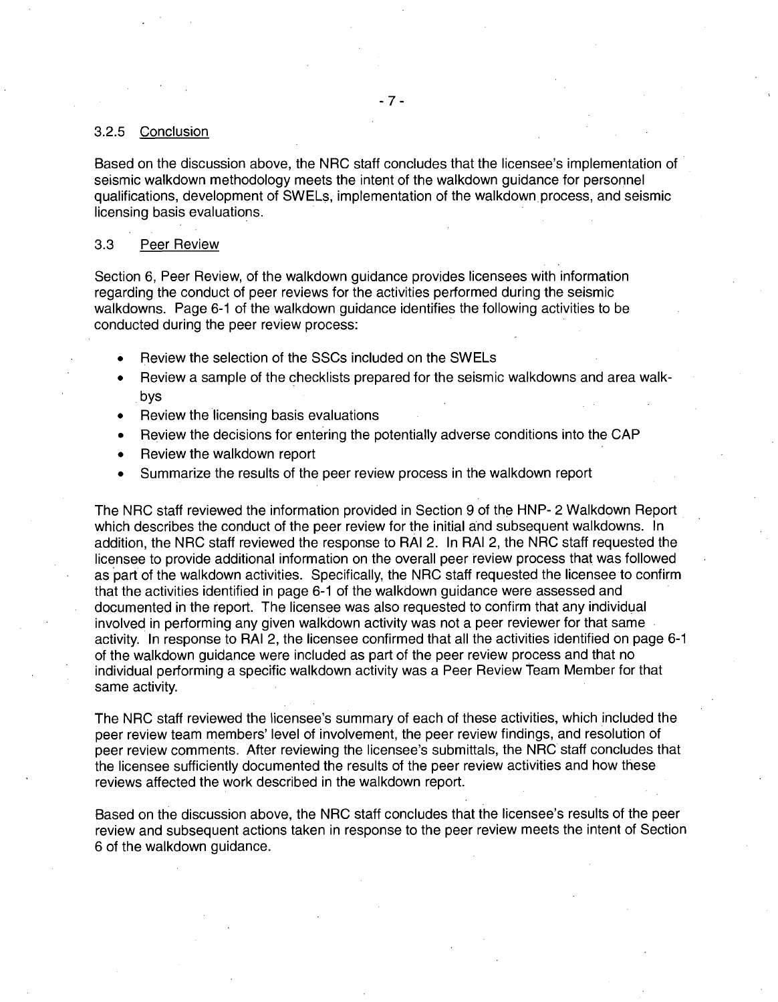## 3.2.5 Conclusion

Based on the discussion above, the NRC staff concludes that the licensee's implementation of seismic walkdown methodology meets the intent of the walkdown guidance for personnel qualifications, development of SWELs, implementation of the walkdown process, and seismic licensing basis evaluations.

### 3.3 Peer Review

Section 6, Peer Review, of the walkdown guidance provides licensees with information regarding the conduct of peer reviews for the activities performed during the seismic walkdowns. Page 6-1 of the walkdown guidance identifies the following activities to be conducted during the peer review process:

- Review the selection of the SSCs included on the SWELs
- Review a sample of the checklists prepared for the seismic walkdowns and area walkbys
- Review the licensing basis evaluations
- Review the decisions for entering the potentially adverse conditions into the CAP
- Review the walkdown report
- Summarize the results of the peer review process in the walkdown report

The NRC staff reviewed the information provided in Section 9 of the HNP- 2 Walkdown Report which describes the conduct of the peer review for the initial and subsequent walkdowns. In addition, the NRC staff reviewed the response to RAI 2. In RAI 2, the NRC staff requested the licensee to provide additional information on the overall peer review process that was followed as part of the walkdown activities. Specifically, the NRC staff requested the licensee to confirm that the activities identified in page 6-1 of the walkdown guidance were assessed and documented in the report. The licensee was also requested to confirm that any individual involved in performing any given walkdown activity was not a peer reviewer for that same activity. In response to RAI 2, the licensee confirmed that all the activities identified on page 6-1 of the walkdown guidance were included as part of the peer review process and that no individual performing a specific walkdown activity was a Peer Review Team Member for that same activity.

The NRC staff reviewed the licensee's summary of each of these activities, which included the peer review team members' level of involvement, the peer review findings, and resolution of peer review comments. After reviewing the licensee's submittals, the NRC staff concludes that the licensee sufficiently documented the results of the peer review activities and how these reviews affected the work described in the walkdown report.

Based on the discussion above, the NRC staff concludes that the licensee's results of the peer review and subsequent actions taken in response to the peer review meets the intent of Section 6 of the walkdown guidance.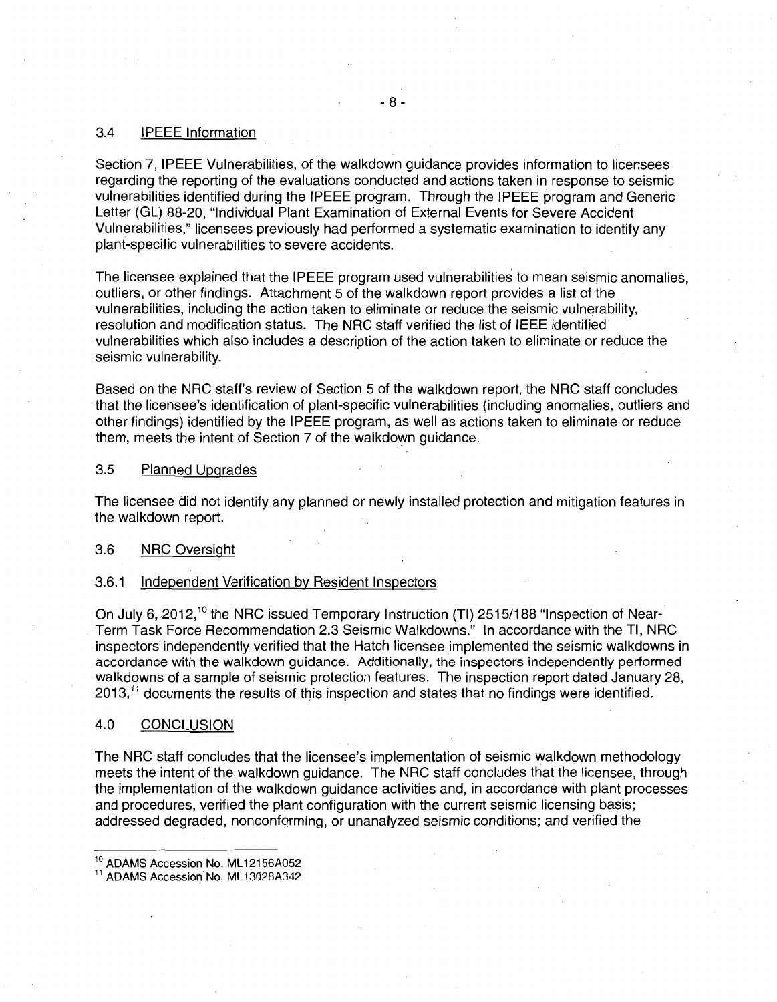## 3.4 IPEEE Information

Section 7, IPEEE Vulnerabilities, of the walkdown guidance provides information to licensees regarding the reporting of the evaluations conducted and actions taken in response to seismic vulnerabilities identified during the IPEEE program. Through the IPEEE program and Generic Letter (GL) 88-20, "Individual Plant Examination of External Events for Severe Accident Vulnerabilities," licensees previously had performed a systematic examination to identify any plant-specific vulnerabilities to severe accidents.

The licensee explained that the IPEEE program used vulnerabilities to mean seismic anomalies, outliers, or other findings. Attachment 5 of the walkdown report provides a list of the vulnerabilities, including the action taken to eliminate or reduce the seismic vulnerability, resolution and modification status. The NRC staff verified the list of IEEE identified vulnerabilities which also includes a description of the action taken to eliminate or reduce the seismic vulnerability.

Based on the NRC staff's review of Section 5 of the walkdown report, the NRC staff concludes that the licensee's identification of plant-specific vulnerabilities (including anomalies, outliers and other findings) identified by the IPEEE program, as well as actions taken to eliminate or reduce them, meets the intent of Section 7 of the walkdown guidance.

### 3.5 Planned Upgrades

The licensee did not identify any planned or newly installed protection and mitigation features in the walkdown report.

## 3.6 NRC Oversight

### 3.6.1 Independent Verification by Resident Inspectors

On July 6, 2012,<sup>10</sup> the NRC issued Temporary Instruction (TI) 2515/188 "Inspection of Near-Term Task Force Recommendation 2.3 Seismic Walkdowns." In accordance with the Tl, NRC inspectors independently verified that the Hatch licensee implemented the seismic walkdowns in accordance with the walkdown guidance. Additionally, the inspectors independently performed walkdowns of a sample of seismic protection features. The inspection report dated January 28,  $2013$ ,  $11$  documents the results of this inspection and states that no findings were identified.

#### 4.0 CONCLUSION

The NRC staff concludes that the licensee's implementation of seismic walkdown methodology meets the intent of the walkdown guidance. The NRC staff concludes that the licensee, through the implementation of the walkdown guidance activities and, in accordance with plant processes and procedures, verified the plant configuration with the current seismic licensing basis; addressed degraded, nonconforming, or unanalyzed seismic conditions; and verified the

<sup>&</sup>lt;sup>10</sup> ADAMS Accession No. ML12156A052<br><sup>11</sup> ADAMS Accession<sup>'</sup> No. ML13028A342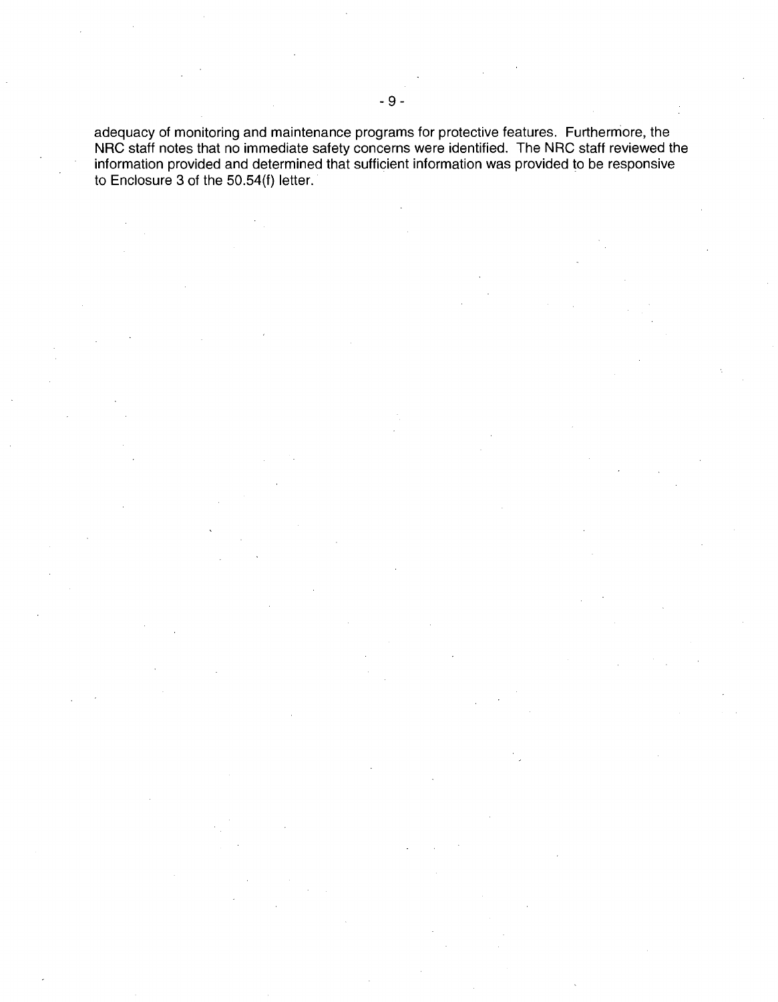adequacy of monitoring and maintenance programs for protective features. Furthermore, the NRC staff notes that no immediate safety concerns were identified. The NRC staff reviewed the information provided and determined that sufficient information was provided to be responsive to Enclosure 3 of the 50.54(f) letter.